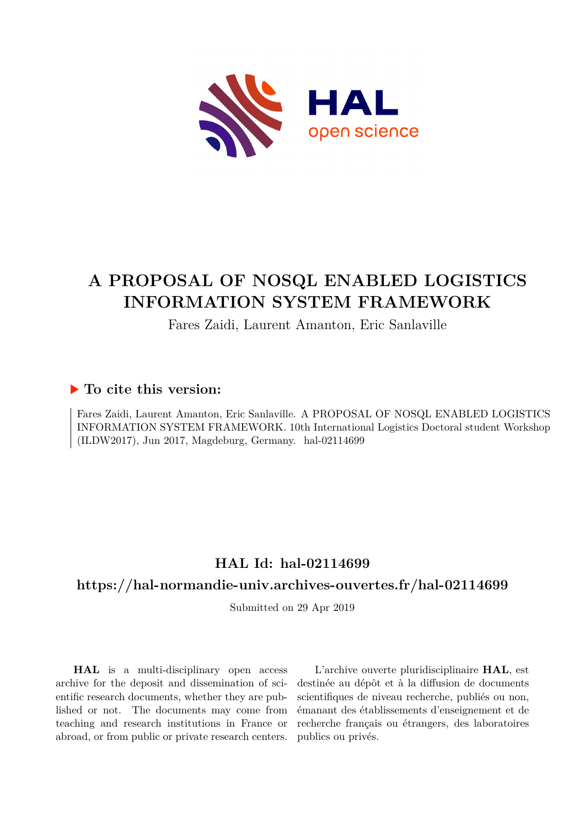

## **A PROPOSAL OF NOSQL ENABLED LOGISTICS INFORMATION SYSTEM FRAMEWORK**

## Fares Zaidi, Laurent Amanton, Eric Sanlaville

### **To cite this version:**

Fares Zaidi, Laurent Amanton, Eric Sanlaville. A PROPOSAL OF NOSQL ENABLED LOGISTICS INFORMATION SYSTEM FRAMEWORK. 10th International Logistics Doctoral student Workshop (ILDW2017), Jun 2017, Magdeburg, Germany. hal-02114699

## **HAL Id: hal-02114699**

## **<https://hal-normandie-univ.archives-ouvertes.fr/hal-02114699>**

Submitted on 29 Apr 2019

**HAL** is a multi-disciplinary open access archive for the deposit and dissemination of scientific research documents, whether they are published or not. The documents may come from teaching and research institutions in France or abroad, or from public or private research centers.

L'archive ouverte pluridisciplinaire **HAL**, est destinée au dépôt et à la diffusion de documents scientifiques de niveau recherche, publiés ou non, émanant des établissements d'enseignement et de recherche français ou étrangers, des laboratoires publics ou privés.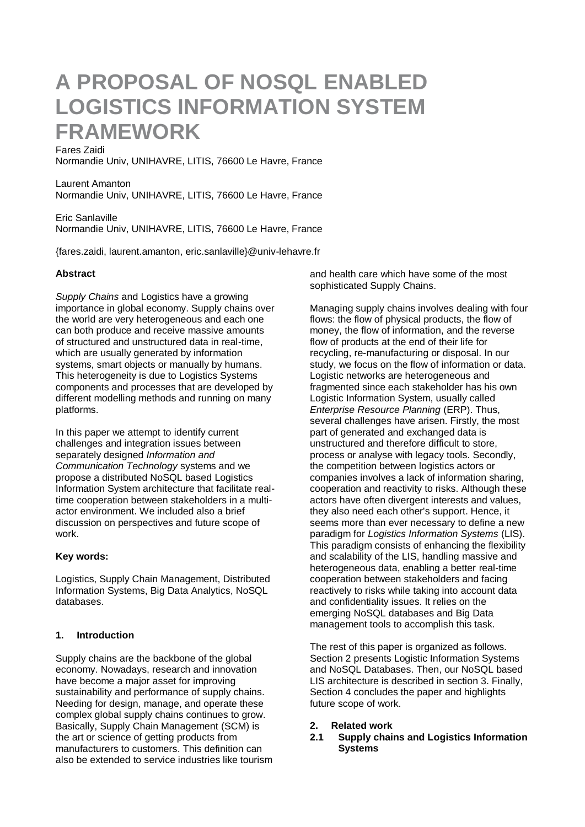# **A PROPOSAL OF NOSQL ENABLED LOGISTICS INFORMATION SYSTEM FRAMEWORK**

#### Fares Zaidi

Normandie Univ, UNIHAVRE, LITIS, 76600 Le Havre, France

Laurent Amanton Normandie Univ, UNIHAVRE, LITIS, 76600 Le Havre, France

Eric Sanlaville Normandie Univ, UNIHAVRE, LITIS, 76600 Le Havre, France

{fares.zaidi, laurent.amanton, eric.sanlaville}@univ-lehavre.fr

#### **Abstract**

*Supply Chains* and Logistics have a growing importance in global economy. Supply chains over the world are very heterogeneous and each one can both produce and receive massive amounts of structured and unstructured data in real-time, which are usually generated by information systems, smart objects or manually by humans. This heterogeneity is due to Logistics Systems components and processes that are developed by different modelling methods and running on many platforms.

In this paper we attempt to identify current challenges and integration issues between separately designed *Information and Communication Technology* systems and we propose a distributed NoSQL based Logistics Information System architecture that facilitate realtime cooperation between stakeholders in a multiactor environment. We included also a brief discussion on perspectives and future scope of work.

#### **Key words:**

Logistics, Supply Chain Management, Distributed Information Systems, Big Data Analytics, NoSQL databases.

#### **1. Introduction**

Supply chains are the backbone of the global economy. Nowadays, research and innovation have become a major asset for improving sustainability and performance of supply chains. Needing for design, manage, and operate these complex global supply chains continues to grow. Basically, Supply Chain Management (SCM) is the art or science of getting products from manufacturers to customers. This definition can also be extended to service industries like tourism and health care which have some of the most sophisticated Supply Chains.

Managing supply chains involves dealing with four flows: the flow of physical products, the flow of money, the flow of information, and the reverse flow of products at the end of their life for recycling, re-manufacturing or disposal. In our study, we focus on the flow of information or data. Logistic networks are heterogeneous and fragmented since each stakeholder has his own Logistic Information System, usually called *Enterprise Resource Planning* (ERP). Thus, several challenges have arisen. Firstly, the most part of generated and exchanged data is unstructured and therefore difficult to store, process or analyse with legacy tools. Secondly, the competition between logistics actors or companies involves a lack of information sharing, cooperation and reactivity to risks. Although these actors have often divergent interests and values, they also need each other's support. Hence, it seems more than ever necessary to define a new paradigm for *Logistics Information Systems* (LIS). This paradigm consists of enhancing the flexibility and scalability of the LIS, handling massive and heterogeneous data, enabling a better real-time cooperation between stakeholders and facing reactively to risks while taking into account data and confidentiality issues. It relies on the emerging NoSQL databases and Big Data management tools to accomplish this task.

The rest of this paper is organized as follows. Section 2 presents Logistic Information Systems and NoSQL Databases. Then, our NoSQL based LIS architecture is described in section 3. Finally, Section 4 concludes the paper and highlights future scope of work.

#### **2. Related work**

**2.1 Supply chains and Logistics Information Systems**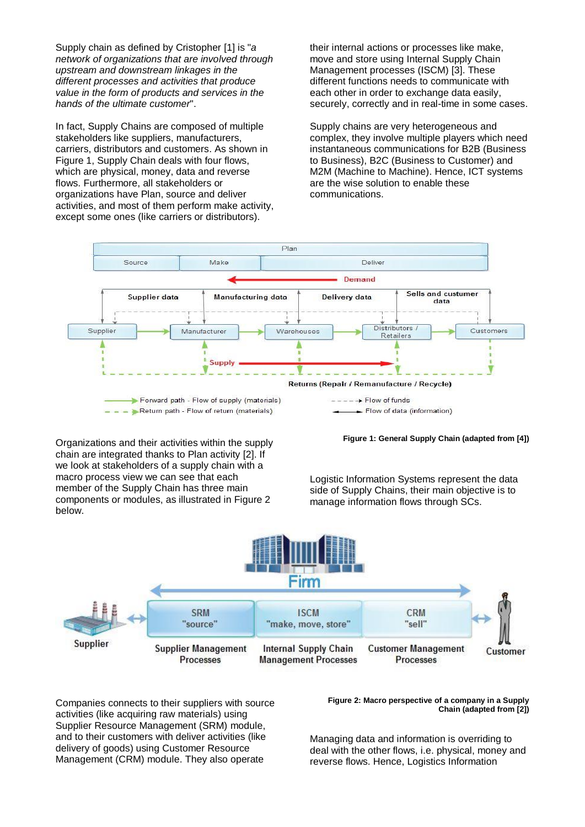Supply chain as defined by Cristopher [1] is "*a network of organizations that are involved through upstream and downstream linkages in the different processes and activities that produce value in the form of products and services in the hands of the ultimate customer*".

In fact, Supply Chains are composed of multiple stakeholders like suppliers, manufacturers, carriers, distributors and customers. As shown in Figure 1, Supply Chain deals with four flows, which are physical, money, data and reverse flows. Furthermore, all stakeholders or organizations have Plan, source and deliver activities, and most of them perform make activity, except some ones (like carriers or distributors).

their internal actions or processes like make, move and store using Internal Supply Chain Management processes (ISCM) [3]. These different functions needs to communicate with each other in order to exchange data easily, securely, correctly and in real-time in some cases.

Supply chains are very heterogeneous and complex, they involve multiple players which need instantaneous communications for B2B (Business to Business), B2C (Business to Customer) and M2M (Machine to Machine). Hence, ICT systems are the wise solution to enable these communications.



Organizations and their activities within the supply chain are integrated thanks to Plan activity [2]. If we look at stakeholders of a supply chain with a macro process view we can see that each member of the Supply Chain has three main components or modules, as illustrated in Figure 2 below.

**Figure 1: General Supply Chain (adapted from [4])**

Logistic Information Systems represent the data side of Supply Chains, their main objective is to manage information flows through SCs.



Companies connects to their suppliers with source activities (like acquiring raw materials) using Supplier Resource Management (SRM) module, and to their customers with deliver activities (like delivery of goods) using Customer Resource Management (CRM) module. They also operate

**Figure 2: Macro perspective of a company in a Supply Chain (adapted from [2])**

Managing data and information is overriding to deal with the other flows, i.e. physical, money and reverse flows. Hence, Logistics Information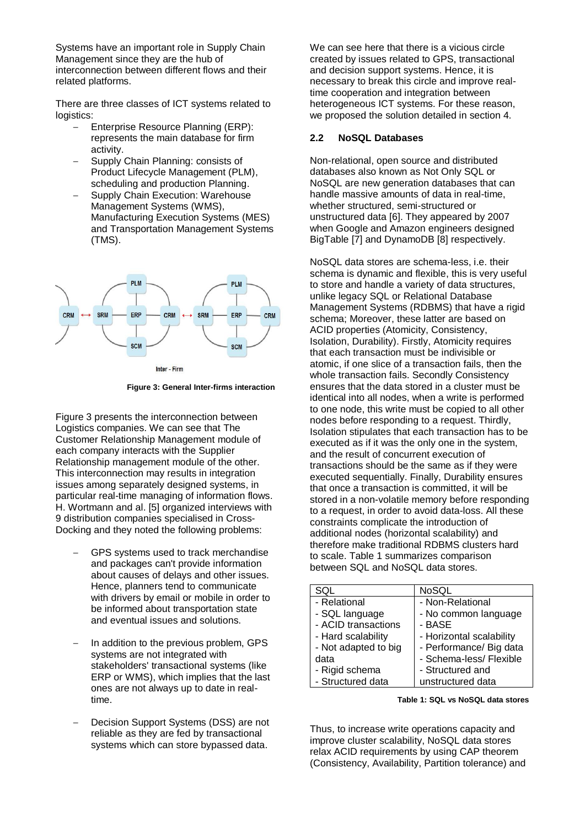Systems have an important role in Supply Chain Management since they are the hub of interconnection between different flows and their related platforms.

There are three classes of ICT systems related to logistics:

- Enterprise Resource Planning (ERP): represents the main database for firm activity.
- Supply Chain Planning: consists of Product Lifecycle Management (PLM), scheduling and production Planning.
- Supply Chain Execution: Warehouse Management Systems (WMS), Manufacturing Execution Systems (MES) and Transportation Management Systems (TMS).



**Figure 3: General Inter-firms interaction**

Figure 3 presents the interconnection between Logistics companies. We can see that The Customer Relationship Management module of each company interacts with the Supplier Relationship management module of the other. This interconnection may results in integration issues among separately designed systems, in particular real-time managing of information flows. H. Wortmann and al. [5] organized interviews with 9 distribution companies specialised in Cross-Docking and they noted the following problems:

- GPS systems used to track merchandise and packages can't provide information about causes of delays and other issues. Hence, planners tend to communicate with drivers by email or mobile in order to be informed about transportation state and eventual issues and solutions.
- In addition to the previous problem, GPS systems are not integrated with stakeholders' transactional systems (like ERP or WMS), which implies that the last ones are not always up to date in realtime.
- Decision Support Systems (DSS) are not reliable as they are fed by transactional systems which can store bypassed data.

We can see here that there is a vicious circle created by issues related to GPS, transactional and decision support systems. Hence, it is necessary to break this circle and improve realtime cooperation and integration between heterogeneous ICT systems. For these reason, we proposed the solution detailed in section 4.

#### **2.2 NoSQL Databases**

Non-relational, open source and distributed databases also known as Not Only SQL or NoSQL are new generation databases that can handle massive amounts of data in real-time, whether structured, semi-structured or unstructured data [6]. They appeared by 2007 when Google and Amazon engineers designed BigTable [7] and DynamoDB [8] respectively.

NoSQL data stores are schema-less, i.e. their schema is dynamic and flexible, this is very useful to store and handle a variety of data structures, unlike legacy SQL or Relational Database Management Systems (RDBMS) that have a rigid schema; Moreover, these latter are based on ACID properties (Atomicity, Consistency, Isolation, Durability). Firstly, Atomicity requires that each transaction must be indivisible or atomic, if one slice of a transaction fails, then the whole transaction fails. Secondly Consistency ensures that the data stored in a cluster must be identical into all nodes, when a write is performed to one node, this write must be copied to all other nodes before responding to a request. Thirdly, Isolation stipulates that each transaction has to be executed as if it was the only one in the system, and the result of concurrent execution of transactions should be the same as if they were executed sequentially. Finally, Durability ensures that once a transaction is committed, it will be stored in a non-volatile memory before responding to a request, in order to avoid data-loss. All these constraints complicate the introduction of additional nodes (horizontal scalability) and therefore make traditional RDBMS clusters hard to scale. Table 1 summarizes comparison between SQL and NoSQL data stores.

| SQL                  | NoSQL                    |
|----------------------|--------------------------|
| - Relational         | - Non-Relational         |
| - SQL language       | - No common language     |
| - ACID transactions  | - BASE                   |
| - Hard scalability   | - Horizontal scalability |
| - Not adapted to big | - Performance/ Big data  |
| data                 | - Schema-less/ Flexible  |
| - Rigid schema       | - Structured and         |
| - Structured data    | unstructured data        |

**Table 1: SQL vs NoSQL data stores**

Thus, to increase write operations capacity and improve cluster scalability, NoSQL data stores relax ACID requirements by using CAP theorem (Consistency, Availability, Partition tolerance) and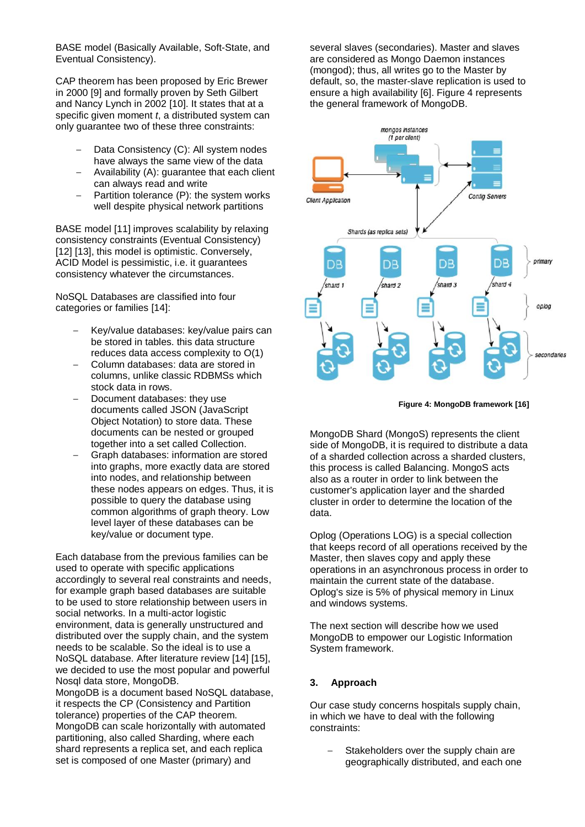BASE model (Basically Available, Soft-State, and Eventual Consistency).

CAP theorem has been proposed by Eric Brewer in 2000 [9] and formally proven by Seth Gilbert and Nancy Lynch in 2002 [10]. It states that at a specific given moment *t*, a distributed system can only guarantee two of these three constraints:

- Data Consistency (C): All system nodes have always the same view of the data
- Availability (A): guarantee that each client can always read and write
- Partition tolerance (P): the system works well despite physical network partitions

BASE model [11] improves scalability by relaxing consistency constraints (Eventual Consistency) [12] [13], this model is optimistic. Conversely, ACID Model is pessimistic, i.e. it guarantees consistency whatever the circumstances.

NoSQL Databases are classified into four categories or families [14]:

- Key/value databases: key/value pairs can be stored in tables. this data structure reduces data access complexity to O(1)
- Column databases: data are stored in columns, unlike classic RDBMSs which stock data in rows.
- Document databases: they use documents called JSON (JavaScript Object Notation) to store data. These documents can be nested or grouped together into a set called Collection.
- Graph databases: information are stored into graphs, more exactly data are stored into nodes, and relationship between these nodes appears on edges. Thus, it is possible to query the database using common algorithms of graph theory. Low level layer of these databases can be key/value or document type.

Each database from the previous families can be used to operate with specific applications accordingly to several real constraints and needs, for example graph based databases are suitable to be used to store relationship between users in social networks. In a multi-actor logistic environment, data is generally unstructured and distributed over the supply chain, and the system needs to be scalable. So the ideal is to use a NoSQL database. After literature review [14] [15], we decided to use the most popular and powerful Nosql data store, MongoDB.

MongoDB is a document based NoSQL database, it respects the CP (Consistency and Partition tolerance) properties of the CAP theorem. MongoDB can scale horizontally with automated partitioning, also called Sharding, where each shard represents a replica set, and each replica set is composed of one Master (primary) and

several slaves (secondaries). Master and slaves are considered as Mongo Daemon instances (mongod); thus, all writes go to the Master by default, so, the master-slave replication is used to ensure a high availability [6]. Figure 4 represents the general framework of MongoDB.



**Figure 4: MongoDB framework [16]**

MongoDB Shard (MongoS) represents the client side of MongoDB, it is required to distribute a data of a sharded collection across a sharded clusters, this process is called Balancing. MongoS acts also as a router in order to link between the customer's application layer and the sharded cluster in order to determine the location of the data.

Oplog (Operations LOG) is a special collection that keeps record of all operations received by the Master, then slaves copy and apply these operations in an asynchronous process in order to maintain the current state of the database. Oplog's size is 5% of physical memory in Linux and windows systems.

The next section will describe how we used MongoDB to empower our Logistic Information System framework.

#### **3. Approach**

Our case study concerns hospitals supply chain, in which we have to deal with the following constraints:

Stakeholders over the supply chain are geographically distributed, and each one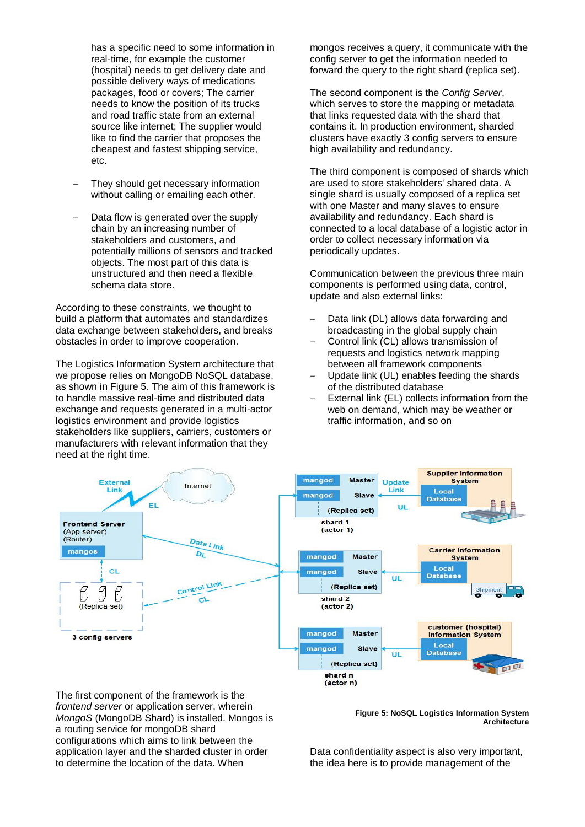has a specific need to some information in real-time, for example the customer (hospital) needs to get delivery date and possible delivery ways of medications packages, food or covers; The carrier needs to know the position of its trucks and road traffic state from an external source like internet; The supplier would like to find the carrier that proposes the cheapest and fastest shipping service, etc.

- They should get necessary information without calling or emailing each other.
- Data flow is generated over the supply chain by an increasing number of stakeholders and customers, and potentially millions of sensors and tracked objects. The most part of this data is unstructured and then need a flexible schema data store.

According to these constraints, we thought to build a platform that automates and standardizes data exchange between stakeholders, and breaks obstacles in order to improve cooperation.

The Logistics Information System architecture that we propose relies on MongoDB NoSQL database, as shown in Figure 5. The aim of this framework is to handle massive real-time and distributed data exchange and requests generated in a multi-actor logistics environment and provide logistics stakeholders like suppliers, carriers, customers or manufacturers with relevant information that they need at the right time.

mongos receives a query, it communicate with the config server to get the information needed to forward the query to the right shard (replica set).

The second component is the *Config Server*, which serves to store the mapping or metadata that links requested data with the shard that contains it. In production environment, sharded clusters have exactly 3 config servers to ensure high availability and redundancy.

The third component is composed of shards which are used to store stakeholders' shared data. A single shard is usually composed of a replica set with one Master and many slaves to ensure availability and redundancy. Each shard is connected to a local database of a logistic actor in order to collect necessary information via periodically updates.

Communication between the previous three main components is performed using data, control, update and also external links:

- Data link (DL) allows data forwarding and broadcasting in the global supply chain
- Control link (CL) allows transmission of requests and logistics network mapping between all framework components
- Update link (UL) enables feeding the shards of the distributed database
- External link (EL) collects information from the web on demand, which may be weather or traffic information, and so on



The first component of the framework is the *frontend server* or application server, wherein *MongoS* (MongoDB Shard) is installed. Mongos is a routing service for mongoDB shard configurations which aims to link between the application layer and the sharded cluster in order to determine the location of the data. When

**Figure 5: NoSQL Logistics Information System Architecture**

Data confidentiality aspect is also very important, the idea here is to provide management of the